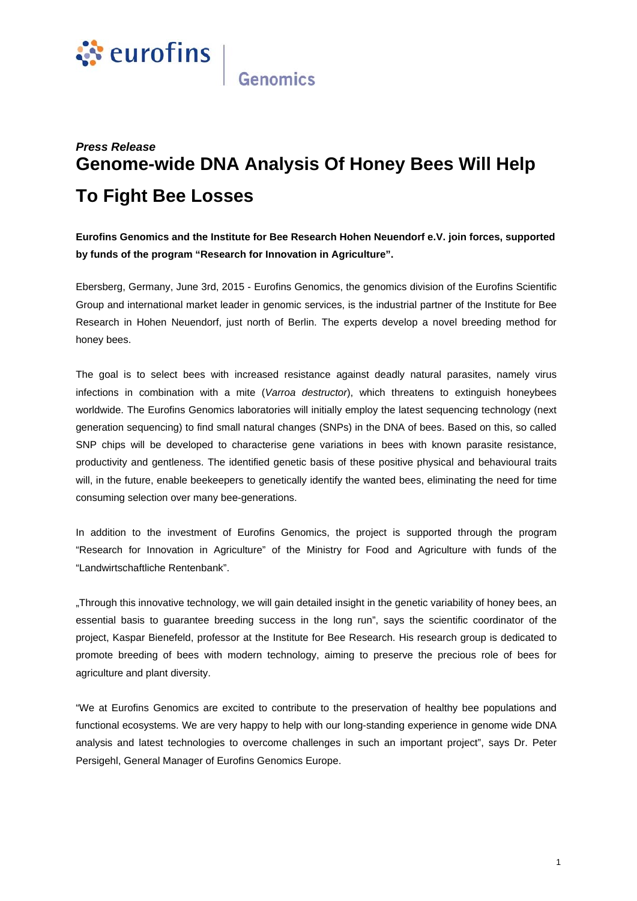

**Genomics** 

## *Press Release*  **Genome-wide DNA Analysis Of Honey Bees Will Help To Fight Bee Losses**

**Eurofins Genomics and the Institute for Bee Research Hohen Neuendorf e.V. join forces, supported by funds of the program "Research for Innovation in Agriculture".** 

Ebersberg, Germany, June 3rd, 2015 - Eurofins Genomics, the genomics division of the Eurofins Scientific Group and international market leader in genomic services, is the industrial partner of the Institute for Bee Research in Hohen Neuendorf, just north of Berlin. The experts develop a novel breeding method for honey bees.

The goal is to select bees with increased resistance against deadly natural parasites, namely virus infections in combination with a mite (*Varroa destructor*), which threatens to extinguish honeybees worldwide. The Eurofins Genomics laboratories will initially employ the latest sequencing technology (next generation sequencing) to find small natural changes (SNPs) in the DNA of bees. Based on this, so called SNP chips will be developed to characterise gene variations in bees with known parasite resistance, productivity and gentleness. The identified genetic basis of these positive physical and behavioural traits will, in the future, enable beekeepers to genetically identify the wanted bees, eliminating the need for time consuming selection over many bee-generations.

In addition to the investment of Eurofins Genomics, the project is supported through the program "Research for Innovation in Agriculture" of the Ministry for Food and Agriculture with funds of the "Landwirtschaftliche Rentenbank".

"Through this innovative technology, we will gain detailed insight in the genetic variability of honey bees, an essential basis to guarantee breeding success in the long run", says the scientific coordinator of the project, Kaspar Bienefeld, professor at the Institute for Bee Research. His research group is dedicated to promote breeding of bees with modern technology, aiming to preserve the precious role of bees for agriculture and plant diversity.

"We at Eurofins Genomics are excited to contribute to the preservation of healthy bee populations and functional ecosystems. We are very happy to help with our long-standing experience in genome wide DNA analysis and latest technologies to overcome challenges in such an important project", says Dr. Peter Persigehl, General Manager of Eurofins Genomics Europe.